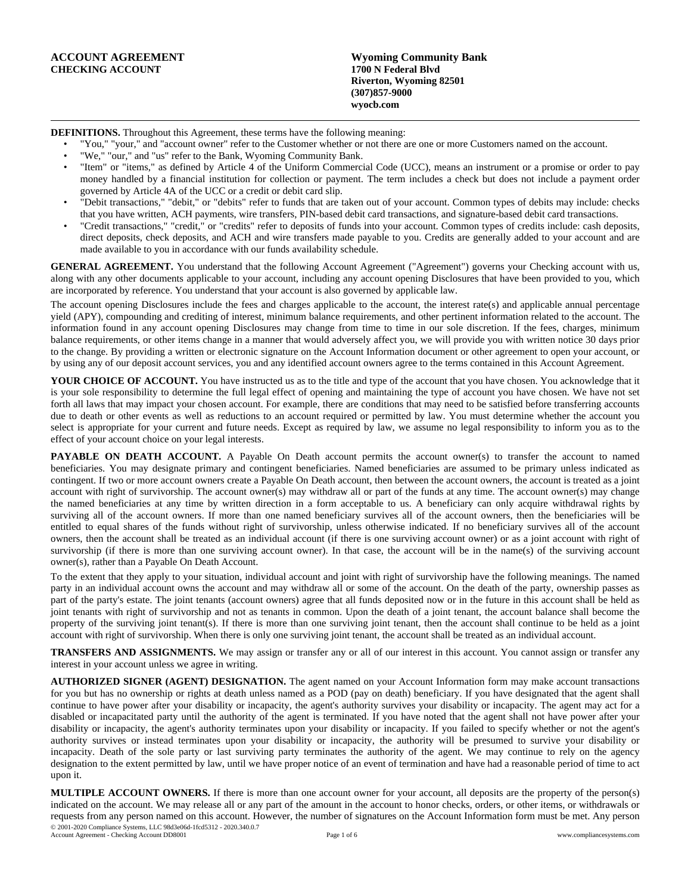| ACCOUNT AGREEMENT       | <b>Wyoming Community Bank</b> |
|-------------------------|-------------------------------|
| <b>CHECKING ACCOUNT</b> | 1700 N Federal Blyd           |
|                         | Riverton, Wyoming 82501       |
|                         | $(307)857 - 9000$             |
|                         | wyocb.com                     |

**DEFINITIONS.** Throughout this Agreement, these terms have the following meaning:

• "You," "your," and "account owner" refer to the Customer whether or not there are one or more Customers named on the account.

- "We," "our," and "us" refer to the Bank, Wyoming Community Bank.
- "Item" or "items," as defined by Article 4 of the Uniform Commercial Code (UCC), means an instrument or a promise or order to pay money handled by a financial institution for collection or payment. The term includes a check but does not include a payment order governed by Article 4A of the UCC or a credit or debit card slip.
- "Debit transactions," "debit," or "debits" refer to funds that are taken out of your account. Common types of debits may include: checks that you have written, ACH payments, wire transfers, PIN-based debit card transactions, and signature-based debit card transactions.
- "Credit transactions," "credit," or "credits" refer to deposits of funds into your account. Common types of credits include: cash deposits, direct deposits, check deposits, and ACH and wire transfers made payable to you. Credits are generally added to your account and are made available to you in accordance with our funds availability schedule.

**GENERAL AGREEMENT.** You understand that the following Account Agreement ("Agreement") governs your Checking account with us, along with any other documents applicable to your account, including any account opening Disclosures that have been provided to you, which are incorporated by reference. You understand that your account is also governed by applicable law.

The account opening Disclosures include the fees and charges applicable to the account, the interest rate(s) and applicable annual percentage yield (APY), compounding and crediting of interest, minimum balance requirements, and other pertinent information related to the account. The information found in any account opening Disclosures may change from time to time in our sole discretion. If the fees, charges, minimum balance requirements, or other items change in a manner that would adversely affect you, we will provide you with written notice 30 days prior to the change. By providing a written or electronic signature on the Account Information document or other agreement to open your account, or by using any of our deposit account services, you and any identified account owners agree to the terms contained in this Account Agreement.

**YOUR CHOICE OF ACCOUNT.** You have instructed us as to the title and type of the account that you have chosen. You acknowledge that it is your sole responsibility to determine the full legal effect of opening and maintaining the type of account you have chosen. We have not set forth all laws that may impact your chosen account. For example, there are conditions that may need to be satisfied before transferring accounts due to death or other events as well as reductions to an account required or permitted by law. You must determine whether the account you select is appropriate for your current and future needs. Except as required by law, we assume no legal responsibility to inform you as to the effect of your account choice on your legal interests.

**PAYABLE** ON DEATH ACCOUNT. A Payable On Death account permits the account owner(s) to transfer the account to named beneficiaries. You may designate primary and contingent beneficiaries. Named beneficiaries are assumed to be primary unless indicated as contingent. If two or more account owners create a Payable On Death account, then between the account owners, the account is treated as a joint account with right of survivorship. The account owner(s) may withdraw all or part of the funds at any time. The account owner(s) may change the named beneficiaries at any time by written direction in a form acceptable to us. A beneficiary can only acquire withdrawal rights by surviving all of the account owners. If more than one named beneficiary survives all of the account owners, then the beneficiaries will be entitled to equal shares of the funds without right of survivorship, unless otherwise indicated. If no beneficiary survives all of the account owners, then the account shall be treated as an individual account (if there is one surviving account owner) or as a joint account with right of survivorship (if there is more than one surviving account owner). In that case, the account will be in the name(s) of the surviving account owner(s), rather than a Payable On Death Account.

To the extent that they apply to your situation, individual account and joint with right of survivorship have the following meanings. The named party in an individual account owns the account and may withdraw all or some of the account. On the death of the party, ownership passes as part of the party's estate. The joint tenants (account owners) agree that all funds deposited now or in the future in this account shall be held as joint tenants with right of survivorship and not as tenants in common. Upon the death of a joint tenant, the account balance shall become the property of the surviving joint tenant(s). If there is more than one surviving joint tenant, then the account shall continue to be held as a joint account with right of survivorship. When there is only one surviving joint tenant, the account shall be treated as an individual account.

**TRANSFERS AND ASSIGNMENTS.** We may assign or transfer any or all of our interest in this account. You cannot assign or transfer any interest in your account unless we agree in writing.

**AUTHORIZED SIGNER (AGENT) DESIGNATION.** The agent named on your Account Information form may make account transactions for you but has no ownership or rights at death unless named as a POD (pay on death) beneficiary. If you have designated that the agent shall continue to have power after your disability or incapacity, the agent's authority survives your disability or incapacity. The agent may act for a disabled or incapacitated party until the authority of the agent is terminated. If you have noted that the agent shall not have power after your disability or incapacity, the agent's authority terminates upon your disability or incapacity. If you failed to specify whether or not the agent's authority survives or instead terminates upon your disability or incapacity, the authority will be presumed to survive your disability or incapacity. Death of the sole party or last surviving party terminates the authority of the agent. We may continue to rely on the agency designation to the extent permitted by law, until we have proper notice of an event of termination and have had a reasonable period of time to act upon it.

**MULTIPLE ACCOUNT OWNERS.** If there is more than one account owner for your account, all deposits are the property of the person(s) indicated on the account. We may release all or any part of the amount in the account to honor checks, orders, or other items, or withdrawals or requests from any person named on this account. However, the number of signatures on the Account Information form must be met. Any person © 2001-2020 Compliance Systems, LLC 98d3e06d-1fcd5312 - 2020.340.0.7 Account Agreement - Checking Account DD8001 Page 1 of 6 www.compliancesystems.com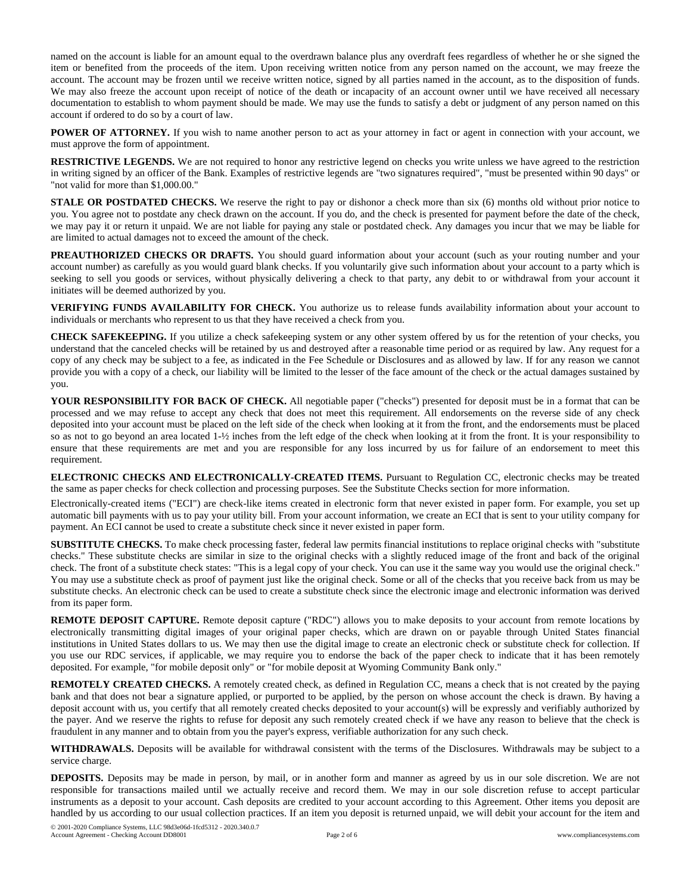named on the account is liable for an amount equal to the overdrawn balance plus any overdraft fees regardless of whether he or she signed the item or benefited from the proceeds of the item. Upon receiving written notice from any person named on the account, we may freeze the account. The account may be frozen until we receive written notice, signed by all parties named in the account, as to the disposition of funds. We may also freeze the account upon receipt of notice of the death or incapacity of an account owner until we have received all necessary documentation to establish to whom payment should be made. We may use the funds to satisfy a debt or judgment of any person named on this account if ordered to do so by a court of law.

**POWER OF ATTORNEY.** If you wish to name another person to act as your attorney in fact or agent in connection with your account, we must approve the form of appointment.

**RESTRICTIVE LEGENDS.** We are not required to honor any restrictive legend on checks you write unless we have agreed to the restriction in writing signed by an officer of the Bank. Examples of restrictive legends are "two signatures required", "must be presented within 90 days" or "not valid for more than \$1,000.00."

**STALE OR POSTDATED CHECKS.** We reserve the right to pay or dishonor a check more than six (6) months old without prior notice to you. You agree not to postdate any check drawn on the account. If you do, and the check is presented for payment before the date of the check, we may pay it or return it unpaid. We are not liable for paying any stale or postdated check. Any damages you incur that we may be liable for are limited to actual damages not to exceed the amount of the check.

**PREAUTHORIZED CHECKS OR DRAFTS.** You should guard information about your account (such as your routing number and your account number) as carefully as you would guard blank checks. If you voluntarily give such information about your account to a party which is seeking to sell you goods or services, without physically delivering a check to that party, any debit to or withdrawal from your account it initiates will be deemed authorized by you.

**VERIFYING FUNDS AVAILABILITY FOR CHECK.** You authorize us to release funds availability information about your account to individuals or merchants who represent to us that they have received a check from you.

**CHECK SAFEKEEPING.** If you utilize a check safekeeping system or any other system offered by us for the retention of your checks, you understand that the canceled checks will be retained by us and destroyed after a reasonable time period or as required by law. Any request for a copy of any check may be subject to a fee, as indicated in the Fee Schedule or Disclosures and as allowed by law. If for any reason we cannot provide you with a copy of a check, our liability will be limited to the lesser of the face amount of the check or the actual damages sustained by you.

**YOUR RESPONSIBILITY FOR BACK OF CHECK.** All negotiable paper ("checks") presented for deposit must be in a format that can be processed and we may refuse to accept any check that does not meet this requirement. All endorsements on the reverse side of any check deposited into your account must be placed on the left side of the check when looking at it from the front, and the endorsements must be placed so as not to go beyond an area located 1-½ inches from the left edge of the check when looking at it from the front. It is your responsibility to ensure that these requirements are met and you are responsible for any loss incurred by us for failure of an endorsement to meet this requirement.

**ELECTRONIC CHECKS AND ELECTRONICALLY-CREATED ITEMS.** Pursuant to Regulation CC, electronic checks may be treated the same as paper checks for check collection and processing purposes. See the Substitute Checks section for more information.

Electronically-created items ("ECI") are check-like items created in electronic form that never existed in paper form. For example, you set up automatic bill payments with us to pay your utility bill. From your account information, we create an ECI that is sent to your utility company for payment. An ECI cannot be used to create a substitute check since it never existed in paper form.

**SUBSTITUTE CHECKS.** To make check processing faster, federal law permits financial institutions to replace original checks with "substitute checks." These substitute checks are similar in size to the original checks with a slightly reduced image of the front and back of the original check. The front of a substitute check states: "This is a legal copy of your check. You can use it the same way you would use the original check." You may use a substitute check as proof of payment just like the original check. Some or all of the checks that you receive back from us may be substitute checks. An electronic check can be used to create a substitute check since the electronic image and electronic information was derived from its paper form.

**REMOTE DEPOSIT CAPTURE.** Remote deposit capture ("RDC") allows you to make deposits to your account from remote locations by electronically transmitting digital images of your original paper checks, which are drawn on or payable through United States financial institutions in United States dollars to us. We may then use the digital image to create an electronic check or substitute check for collection. If you use our RDC services, if applicable, we may require you to endorse the back of the paper check to indicate that it has been remotely deposited. For example, "for mobile deposit only" or "for mobile deposit at Wyoming Community Bank only."

**REMOTELY CREATED CHECKS.** A remotely created check, as defined in Regulation CC, means a check that is not created by the paying bank and that does not bear a signature applied, or purported to be applied, by the person on whose account the check is drawn. By having a deposit account with us, you certify that all remotely created checks deposited to your account(s) will be expressly and verifiably authorized by the payer. And we reserve the rights to refuse for deposit any such remotely created check if we have any reason to believe that the check is fraudulent in any manner and to obtain from you the payer's express, verifiable authorization for any such check.

**WITHDRAWALS.** Deposits will be available for withdrawal consistent with the terms of the Disclosures. Withdrawals may be subject to a service charge.

**DEPOSITS.** Deposits may be made in person, by mail, or in another form and manner as agreed by us in our sole discretion. We are not responsible for transactions mailed until we actually receive and record them. We may in our sole discretion refuse to accept particular instruments as a deposit to your account. Cash deposits are credited to your account according to this Agreement. Other items you deposit are handled by us according to our usual collection practices. If an item you deposit is returned unpaid, we will debit your account for the item and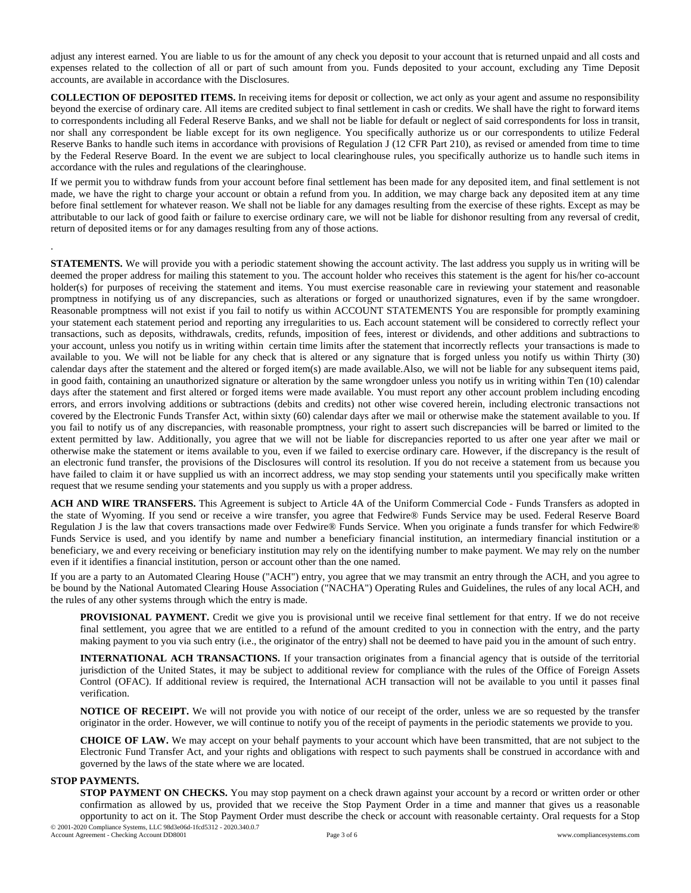adjust any interest earned. You are liable to us for the amount of any check you deposit to your account that is returned unpaid and all costs and expenses related to the collection of all or part of such amount from you. Funds deposited to your account, excluding any Time Deposit accounts, are available in accordance with the Disclosures.

**COLLECTION OF DEPOSITED ITEMS.** In receiving items for deposit or collection, we act only as your agent and assume no responsibility beyond the exercise of ordinary care. All items are credited subject to final settlement in cash or credits. We shall have the right to forward items to correspondents including all Federal Reserve Banks, and we shall not be liable for default or neglect of said correspondents for loss in transit, nor shall any correspondent be liable except for its own negligence. You specifically authorize us or our correspondents to utilize Federal Reserve Banks to handle such items in accordance with provisions of Regulation J (12 CFR Part 210), as revised or amended from time to time by the Federal Reserve Board. In the event we are subject to local clearinghouse rules, you specifically authorize us to handle such items in accordance with the rules and regulations of the clearinghouse.

If we permit you to withdraw funds from your account before final settlement has been made for any deposited item, and final settlement is not made, we have the right to charge your account or obtain a refund from you. In addition, we may charge back any deposited item at any time before final settlement for whatever reason. We shall not be liable for any damages resulting from the exercise of these rights. Except as may be attributable to our lack of good faith or failure to exercise ordinary care, we will not be liable for dishonor resulting from any reversal of credit, return of deposited items or for any damages resulting from any of those actions.

**STATEMENTS.** We will provide you with a periodic statement showing the account activity. The last address you supply us in writing will be deemed the proper address for mailing this statement to you. The account holder who receives this statement is the agent for his/her co-account holder(s) for purposes of receiving the statement and items. You must exercise reasonable care in reviewing your statement and reasonable promptness in notifying us of any discrepancies, such as alterations or forged or unauthorized signatures, even if by the same wrongdoer. Reasonable promptness will not exist if you fail to notify us within ACCOUNT STATEMENTS You are responsible for promptly examining your statement each statement period and reporting any irregularities to us. Each account statement will be considered to correctly reflect your transactions, such as deposits, withdrawals, credits, refunds, imposition of fees, interest or dividends, and other additions and subtractions to your account, unless you notify us in writing within certain time limits after the statement that incorrectly reflects your transactions is made to available to you. We will not be liable for any check that is altered or any signature that is forged unless you notify us within Thirty (30) calendar days after the statement and the altered or forged item(s) are made available.Also, we will not be liable for any subsequent items paid, in good faith, containing an unauthorized signature or alteration by the same wrongdoer unless you notify us in writing within Ten (10) calendar days after the statement and first altered or forged items were made available. You must report any other account problem including encoding errors, and errors involving additions or subtractions (debits and credits) not other wise covered herein, including electronic transactions not covered by the Electronic Funds Transfer Act, within sixty (60) calendar days after we mail or otherwise make the statement available to you. If you fail to notify us of any discrepancies, with reasonable promptness, your right to assert such discrepancies will be barred or limited to the extent permitted by law. Additionally, you agree that we will not be liable for discrepancies reported to us after one year after we mail or otherwise make the statement or items available to you, even if we failed to exercise ordinary care. However, if the discrepancy is the result of an electronic fund transfer, the provisions of the Disclosures will control its resolution. If you do not receive a statement from us because you have failed to claim it or have supplied us with an incorrect address, we may stop sending your statements until you specifically make written request that we resume sending your statements and you supply us with a proper address.

**ACH AND WIRE TRANSFERS.** This Agreement is subject to Article 4A of the Uniform Commercial Code - Funds Transfers as adopted in the state of Wyoming. If you send or receive a wire transfer, you agree that Fedwire® Funds Service may be used. Federal Reserve Board Regulation J is the law that covers transactions made over Fedwire® Funds Service. When you originate a funds transfer for which Fedwire® Funds Service is used, and you identify by name and number a beneficiary financial institution, an intermediary financial institution or a beneficiary, we and every receiving or beneficiary institution may rely on the identifying number to make payment. We may rely on the number even if it identifies a financial institution, person or account other than the one named.

If you are a party to an Automated Clearing House ("ACH") entry, you agree that we may transmit an entry through the ACH, and you agree to be bound by the National Automated Clearing House Association ("NACHA") Operating Rules and Guidelines, the rules of any local ACH, and the rules of any other systems through which the entry is made.

**PROVISIONAL PAYMENT.** Credit we give you is provisional until we receive final settlement for that entry. If we do not receive final settlement, you agree that we are entitled to a refund of the amount credited to you in connection with the entry, and the party making payment to you via such entry (i.e., the originator of the entry) shall not be deemed to have paid you in the amount of such entry.

**INTERNATIONAL ACH TRANSACTIONS.** If your transaction originates from a financial agency that is outside of the territorial jurisdiction of the United States, it may be subject to additional review for compliance with the rules of the Office of Foreign Assets Control (OFAC). If additional review is required, the International ACH transaction will not be available to you until it passes final verification.

**NOTICE OF RECEIPT.** We will not provide you with notice of our receipt of the order, unless we are so requested by the transfer originator in the order. However, we will continue to notify you of the receipt of payments in the periodic statements we provide to you.

**CHOICE OF LAW.** We may accept on your behalf payments to your account which have been transmitted, that are not subject to the Electronic Fund Transfer Act, and your rights and obligations with respect to such payments shall be construed in accordance with and governed by the laws of the state where we are located.

## **STOP PAYMENTS.**

.

**STOP PAYMENT ON CHECKS.** You may stop payment on a check drawn against your account by a record or written order or other confirmation as allowed by us, provided that we receive the Stop Payment Order in a time and manner that gives us a reasonable opportunity to act on it. The Stop Payment Order must describe the check or account with reasonable certainty. Oral requests for a Stop © 2001-2020 Compliance Systems, LLC 98d3e06d-1fcd5312 - 2020.340.0.7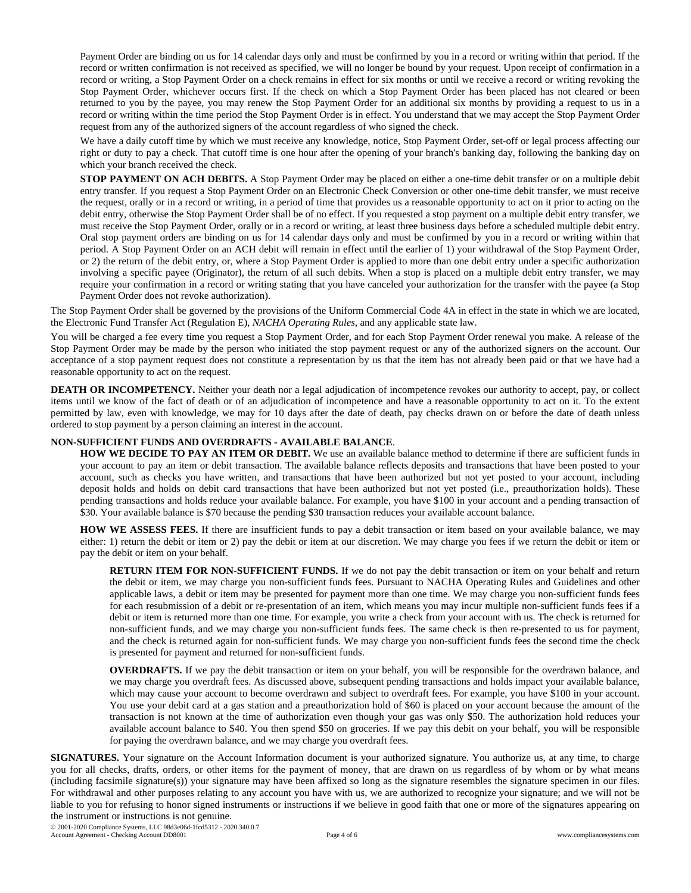Payment Order are binding on us for 14 calendar days only and must be confirmed by you in a record or writing within that period. If the record or written confirmation is not received as specified, we will no longer be bound by your request. Upon receipt of confirmation in a record or writing, a Stop Payment Order on a check remains in effect for six months or until we receive a record or writing revoking the Stop Payment Order, whichever occurs first. If the check on which a Stop Payment Order has been placed has not cleared or been returned to you by the payee, you may renew the Stop Payment Order for an additional six months by providing a request to us in a record or writing within the time period the Stop Payment Order is in effect. You understand that we may accept the Stop Payment Order request from any of the authorized signers of the account regardless of who signed the check.

We have a daily cutoff time by which we must receive any knowledge, notice, Stop Payment Order, set-off or legal process affecting our right or duty to pay a check. That cutoff time is one hour after the opening of your branch's banking day, following the banking day on which your branch received the check.

**STOP PAYMENT ON ACH DEBITS.** A Stop Payment Order may be placed on either a one-time debit transfer or on a multiple debit entry transfer. If you request a Stop Payment Order on an Electronic Check Conversion or other one-time debit transfer, we must receive the request, orally or in a record or writing, in a period of time that provides us a reasonable opportunity to act on it prior to acting on the debit entry, otherwise the Stop Payment Order shall be of no effect. If you requested a stop payment on a multiple debit entry transfer, we must receive the Stop Payment Order, orally or in a record or writing, at least three business days before a scheduled multiple debit entry. Oral stop payment orders are binding on us for 14 calendar days only and must be confirmed by you in a record or writing within that period. A Stop Payment Order on an ACH debit will remain in effect until the earlier of 1) your withdrawal of the Stop Payment Order, or 2) the return of the debit entry, or, where a Stop Payment Order is applied to more than one debit entry under a specific authorization involving a specific payee (Originator), the return of all such debits. When a stop is placed on a multiple debit entry transfer, we may require your confirmation in a record or writing stating that you have canceled your authorization for the transfer with the payee (a Stop Payment Order does not revoke authorization).

The Stop Payment Order shall be governed by the provisions of the Uniform Commercial Code 4A in effect in the state in which we are located, the Electronic Fund Transfer Act (Regulation E), *NACHA Operating Rules*, and any applicable state law.

You will be charged a fee every time you request a Stop Payment Order, and for each Stop Payment Order renewal you make. A release of the Stop Payment Order may be made by the person who initiated the stop payment request or any of the authorized signers on the account. Our acceptance of a stop payment request does not constitute a representation by us that the item has not already been paid or that we have had a reasonable opportunity to act on the request.

**DEATH OR INCOMPETENCY.** Neither your death nor a legal adjudication of incompetence revokes our authority to accept, pay, or collect items until we know of the fact of death or of an adjudication of incompetence and have a reasonable opportunity to act on it. To the extent permitted by law, even with knowledge, we may for 10 days after the date of death, pay checks drawn on or before the date of death unless ordered to stop payment by a person claiming an interest in the account.

## **NON-SUFFICIENT FUNDS AND OVERDRAFTS - AVAILABLE BALANCE**.

**HOW WE DECIDE TO PAY AN ITEM OR DEBIT.** We use an available balance method to determine if there are sufficient funds in your account to pay an item or debit transaction. The available balance reflects deposits and transactions that have been posted to your account, such as checks you have written, and transactions that have been authorized but not yet posted to your account, including deposit holds and holds on debit card transactions that have been authorized but not yet posted (i.e., preauthorization holds). These pending transactions and holds reduce your available balance. For example, you have \$100 in your account and a pending transaction of \$30. Your available balance is \$70 because the pending \$30 transaction reduces your available account balance.

**HOW WE ASSESS FEES.** If there are insufficient funds to pay a debit transaction or item based on your available balance, we may either: 1) return the debit or item or 2) pay the debit or item at our discretion. We may charge you fees if we return the debit or item or pay the debit or item on your behalf.

**RETURN ITEM FOR NON-SUFFICIENT FUNDS.** If we do not pay the debit transaction or item on your behalf and return the debit or item, we may charge you non-sufficient funds fees. Pursuant to NACHA Operating Rules and Guidelines and other applicable laws, a debit or item may be presented for payment more than one time. We may charge you non-sufficient funds fees for each resubmission of a debit or re-presentation of an item, which means you may incur multiple non-sufficient funds fees if a debit or item is returned more than one time. For example, you write a check from your account with us. The check is returned for non-sufficient funds, and we may charge you non-sufficient funds fees. The same check is then re-presented to us for payment, and the check is returned again for non-sufficient funds. We may charge you non-sufficient funds fees the second time the check is presented for payment and returned for non-sufficient funds.

**OVERDRAFTS.** If we pay the debit transaction or item on your behalf, you will be responsible for the overdrawn balance, and we may charge you overdraft fees. As discussed above, subsequent pending transactions and holds impact your available balance, which may cause your account to become overdrawn and subject to overdraft fees. For example, you have \$100 in your account. You use your debit card at a gas station and a preauthorization hold of \$60 is placed on your account because the amount of the transaction is not known at the time of authorization even though your gas was only \$50. The authorization hold reduces your available account balance to \$40. You then spend \$50 on groceries. If we pay this debit on your behalf, you will be responsible for paying the overdrawn balance, and we may charge you overdraft fees.

**SIGNATURES.** Your signature on the Account Information document is your authorized signature. You authorize us, at any time, to charge you for all checks, drafts, orders, or other items for the payment of money, that are drawn on us regardless of by whom or by what means (including facsimile signature(s)) your signature may have been affixed so long as the signature resembles the signature specimen in our files. For withdrawal and other purposes relating to any account you have with us, we are authorized to recognize your signature; and we will not be liable to you for refusing to honor signed instruments or instructions if we believe in good faith that one or more of the signatures appearing on the instrument or instructions is not genuine.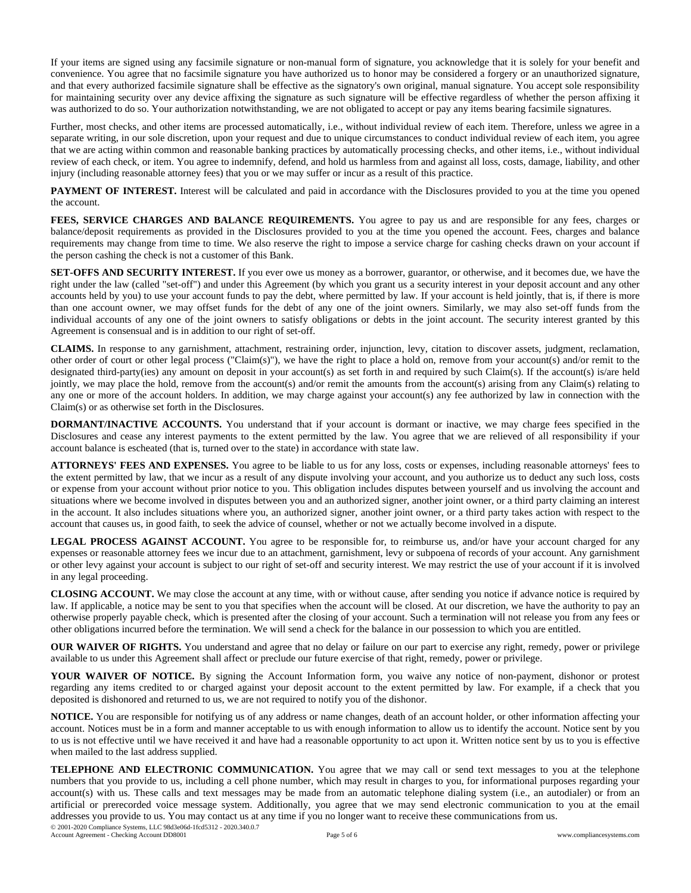If your items are signed using any facsimile signature or non-manual form of signature, you acknowledge that it is solely for your benefit and convenience. You agree that no facsimile signature you have authorized us to honor may be considered a forgery or an unauthorized signature, and that every authorized facsimile signature shall be effective as the signatory's own original, manual signature. You accept sole responsibility for maintaining security over any device affixing the signature as such signature will be effective regardless of whether the person affixing it was authorized to do so. Your authorization notwithstanding, we are not obligated to accept or pay any items bearing facsimile signatures.

Further, most checks, and other items are processed automatically, i.e., without individual review of each item. Therefore, unless we agree in a separate writing, in our sole discretion, upon your request and due to unique circumstances to conduct individual review of each item, you agree that we are acting within common and reasonable banking practices by automatically processing checks, and other items, i.e., without individual review of each check, or item. You agree to indemnify, defend, and hold us harmless from and against all loss, costs, damage, liability, and other injury (including reasonable attorney fees) that you or we may suffer or incur as a result of this practice.

**PAYMENT OF INTEREST.** Interest will be calculated and paid in accordance with the Disclosures provided to you at the time you opened the account.

**FEES, SERVICE CHARGES AND BALANCE REQUIREMENTS.** You agree to pay us and are responsible for any fees, charges or balance/deposit requirements as provided in the Disclosures provided to you at the time you opened the account. Fees, charges and balance requirements may change from time to time. We also reserve the right to impose a service charge for cashing checks drawn on your account if the person cashing the check is not a customer of this Bank.

**SET-OFFS AND SECURITY INTEREST.** If you ever owe us money as a borrower, guarantor, or otherwise, and it becomes due, we have the right under the law (called "set-off") and under this Agreement (by which you grant us a security interest in your deposit account and any other accounts held by you) to use your account funds to pay the debt, where permitted by law. If your account is held jointly, that is, if there is more than one account owner, we may offset funds for the debt of any one of the joint owners. Similarly, we may also set-off funds from the individual accounts of any one of the joint owners to satisfy obligations or debts in the joint account. The security interest granted by this Agreement is consensual and is in addition to our right of set-off.

**CLAIMS.** In response to any garnishment, attachment, restraining order, injunction, levy, citation to discover assets, judgment, reclamation, other order of court or other legal process ("Claim(s)"), we have the right to place a hold on, remove from your account(s) and/or remit to the designated third-party(ies) any amount on deposit in your account(s) as set forth in and required by such Claim(s). If the account(s) is/are held jointly, we may place the hold, remove from the account(s) and/or remit the amounts from the account(s) arising from any Claim(s) relating to any one or more of the account holders. In addition, we may charge against your account(s) any fee authorized by law in connection with the Claim(s) or as otherwise set forth in the Disclosures.

**DORMANT/INACTIVE ACCOUNTS.** You understand that if your account is dormant or inactive, we may charge fees specified in the Disclosures and cease any interest payments to the extent permitted by the law. You agree that we are relieved of all responsibility if your account balance is escheated (that is, turned over to the state) in accordance with state law.

**ATTORNEYS' FEES AND EXPENSES.** You agree to be liable to us for any loss, costs or expenses, including reasonable attorneys' fees to the extent permitted by law, that we incur as a result of any dispute involving your account, and you authorize us to deduct any such loss, costs or expense from your account without prior notice to you. This obligation includes disputes between yourself and us involving the account and situations where we become involved in disputes between you and an authorized signer, another joint owner, or a third party claiming an interest in the account. It also includes situations where you, an authorized signer, another joint owner, or a third party takes action with respect to the account that causes us, in good faith, to seek the advice of counsel, whether or not we actually become involved in a dispute.

**LEGAL PROCESS AGAINST ACCOUNT.** You agree to be responsible for, to reimburse us, and/or have your account charged for any expenses or reasonable attorney fees we incur due to an attachment, garnishment, levy or subpoena of records of your account. Any garnishment or other levy against your account is subject to our right of set-off and security interest. We may restrict the use of your account if it is involved in any legal proceeding.

**CLOSING ACCOUNT.** We may close the account at any time, with or without cause, after sending you notice if advance notice is required by law. If applicable, a notice may be sent to you that specifies when the account will be closed. At our discretion, we have the authority to pay an otherwise properly payable check, which is presented after the closing of your account. Such a termination will not release you from any fees or other obligations incurred before the termination. We will send a check for the balance in our possession to which you are entitled.

**OUR WAIVER OF RIGHTS.** You understand and agree that no delay or failure on our part to exercise any right, remedy, power or privilege available to us under this Agreement shall affect or preclude our future exercise of that right, remedy, power or privilege.

**YOUR WAIVER OF NOTICE.** By signing the Account Information form, you waive any notice of non-payment, dishonor or protest regarding any items credited to or charged against your deposit account to the extent permitted by law. For example, if a check that you deposited is dishonored and returned to us, we are not required to notify you of the dishonor.

**NOTICE.** You are responsible for notifying us of any address or name changes, death of an account holder, or other information affecting your account. Notices must be in a form and manner acceptable to us with enough information to allow us to identify the account. Notice sent by you to us is not effective until we have received it and have had a reasonable opportunity to act upon it. Written notice sent by us to you is effective when mailed to the last address supplied.

**TELEPHONE AND ELECTRONIC COMMUNICATION.** You agree that we may call or send text messages to you at the telephone numbers that you provide to us, including a cell phone number, which may result in charges to you, for informational purposes regarding your account(s) with us. These calls and text messages may be made from an automatic telephone dialing system (i.e., an autodialer) or from an artificial or prerecorded voice message system. Additionally, you agree that we may send electronic communication to you at the email addresses you provide to us. You may contact us at any time if you no longer want to receive these communications from us. © 2001-2020 Compliance Systems, LLC 98d3e06d-1fcd5312 - 2020.340.0.7

Account Agreement - Checking Account DD8001 Page 5 of 6 www.compliancesystems.com